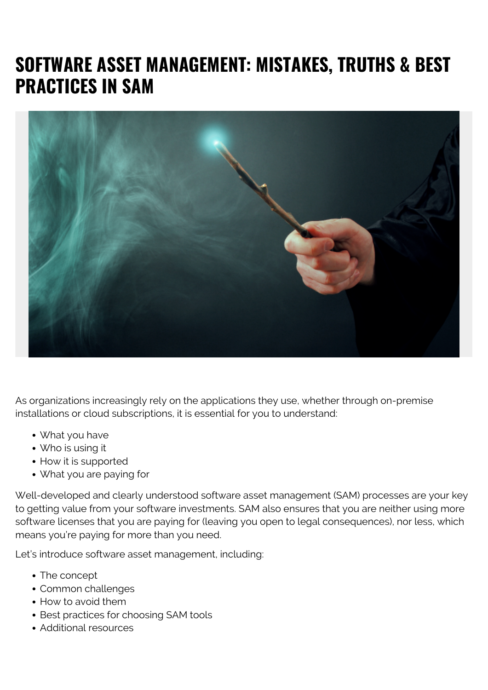# **SOFTWARE ASSET MANAGEMENT: MISTAKES, TRUTHS & BEST PRACTICES IN SAM**



As organizations increasingly rely on the applications they use, whether through on-premise installations or cloud subscriptions, it is essential for you to understand:

- What you have
- Who is using it
- How it is supported
- What you are paying for

Well-developed and clearly understood software asset management (SAM) processes are your key to getting value from your software investments. SAM also ensures that you are neither using more software licenses that you are paying for (leaving you open to legal consequences), nor less, which means you're paying for more than you need.

Let's introduce software asset management, including:

- The concept
- Common challenges
- How to avoid them
- Best practices for choosing SAM tools
- Additional resources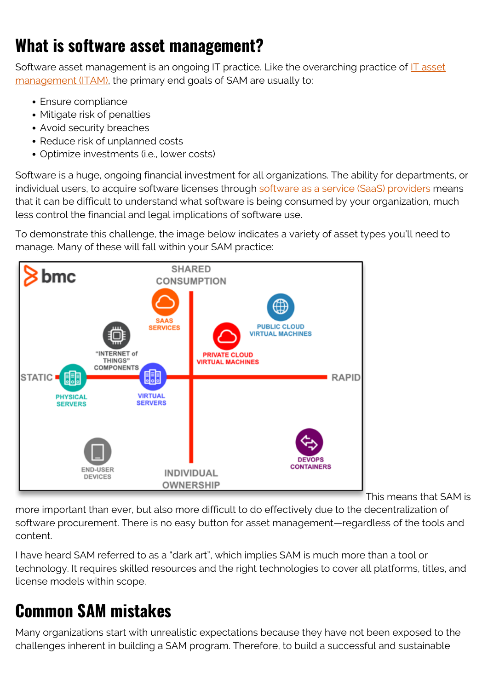## **What is software asset management?**

Software asset management is an ongoing IT practice. Like the overarching practice of [IT asset](https://blogs.bmc.com/blogs/it-asset-management/) [management \(ITAM\),](https://blogs.bmc.com/blogs/it-asset-management/) the primary end goals of SAM are usually to:

- Ensure compliance
- Mitigate risk of penalties
- Avoid security breaches
- Reduce risk of unplanned costs
- Optimize investments (i.e., lower costs)

Software is a huge, ongoing financial investment for all organizations. The ability for departments, or individual users, to acquire software licenses through [software as a service \(SaaS\) providers](https://blogs.bmc.com/blogs/saas-vs-paas-vs-iaas-whats-the-difference-and-how-to-choose/) means that it can be difficult to understand what software is being consumed by your organization, much less control the financial and legal implications of software use.

To demonstrate this challenge, the image below indicates a variety of asset types you'll need to manage. Many of these will fall within your SAM practice:



This means that SAM is

more important than ever, but also more difficult to do effectively due to the decentralization of software procurement. There is no easy button for asset management—regardless of the tools and content.

I have heard SAM referred to as a "dark art", which implies SAM is much more than a tool or technology. It requires skilled resources and the right technologies to cover all platforms, titles, and license models within scope.

## **Common SAM mistakes**

Many organizations start with unrealistic expectations because they have not been exposed to the challenges inherent in building a SAM program. Therefore, to build a successful and sustainable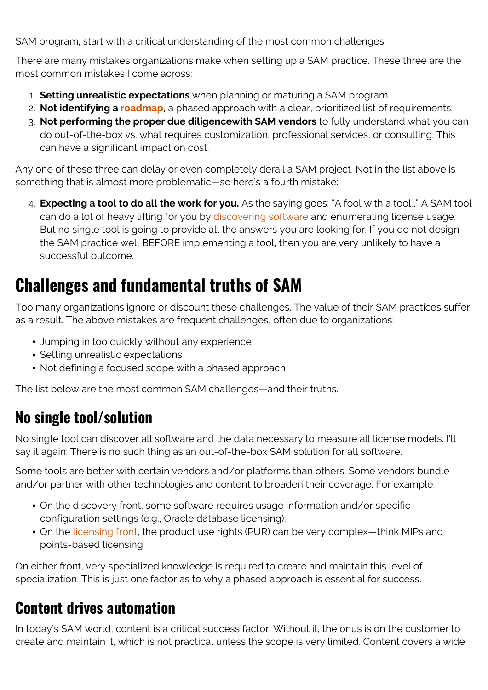SAM program, start with a critical understanding of the most common challenges.

There are many mistakes organizations make when setting up a SAM practice. These three are the most common mistakes I come across:

- 1. **Setting unrealistic expectations** when planning or maturing a SAM program.
- 2. **Not identifying a [roadmap](https://blogs.bmc.com/blogs/it-roadmaps/)**, a phased approach with a clear, prioritized list of requirements.
- 3. **Not performing the proper due diligencewith SAM vendors** to fully understand what you can do out-of-the-box vs. what requires customization, professional services, or consulting. This can have a significant impact on cost.

Any one of these three can delay or even completely derail a SAM project. Not in the list above is something that is almost more problematic—so here's a fourth mistake:

4. **Expecting a tool to do all the work for you.** As the saying goes: "A fool with a tool…" A SAM tool can do a lot of heavy lifting for you by [discovering software](https://blogs.bmc.com/blogs/it-discovery/) and enumerating license usage. But no single tool is going to provide all the answers you are looking for. If you do not design the SAM practice well BEFORE implementing a tool, then you are very unlikely to have a successful outcome.

## **Challenges and fundamental truths of SAM**

Too many organizations ignore or discount these challenges. The value of their SAM practices suffer as a result. The above mistakes are frequent challenges, often due to organizations:

- Jumping in too quickly without any experience
- Setting unrealistic expectations
- Not defining a focused scope with a phased approach

The list below are the most common SAM challenges—and their truths.

### **No single tool/solution**

No single tool can discover all software and the data necessary to measure all license models. I'll say it again: There is no such thing as an out-of-the-box SAM solution for all software.

Some tools are better with certain vendors and/or platforms than others. Some vendors bundle and/or partner with other technologies and content to broaden their coverage. For example:

- On the discovery front, some software requires usage information and/or specific configuration settings (e.g., Oracle database licensing).
- On the *licensing front*, the product use rights (PUR) can be very complex—think MIPs and points-based licensing.

On either front, very specialized knowledge is required to create and maintain this level of specialization. This is just one factor as to why a phased approach is essential for success.

#### **Content drives automation**

In today's SAM world, content is a critical success factor. Without it, the onus is on the customer to create and maintain it, which is not practical unless the scope is very limited. Content covers a wide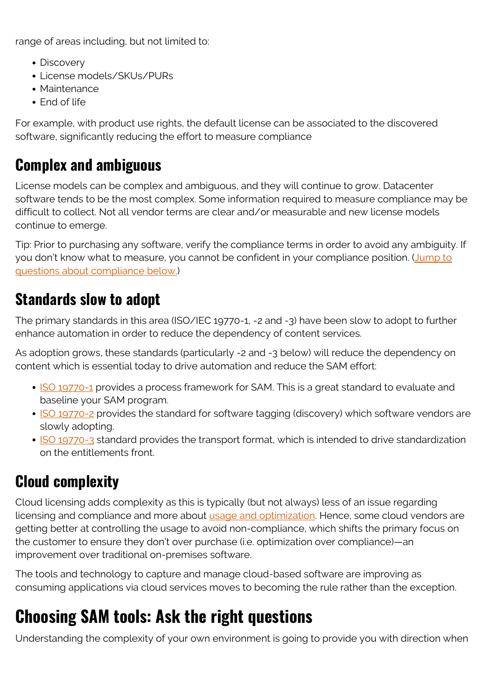range of areas including, but not limited to:

- Discovery
- License models/SKUs/PURs
- Maintenance
- End of life

For example, with product use rights, the default license can be associated to the discovered software, significantly reducing the effort to measure compliance

#### **Complex and ambiguous**

License models can be complex and ambiguous, and they will continue to grow. Datacenter software tends to be the most complex. Some information required to measure compliance may be difficult to collect. Not all vendor terms are clear and/or measurable and new license models continue to emerge.

Tip: Prior to purchasing any software, verify the compliance terms in order to avoid any ambiguity. If you don't know what to measure, you cannot be confident in your compliance position. ([Jump to](#page--1-0) [questions about compliance below.](#page--1-0))

### **Standards slow to adopt**

The primary standards in this area (ISO/IEC 19770-1, -2 and -3) have been slow to adopt to further enhance automation in order to reduce the dependency of content services.

As adoption grows, these standards (particularly -2 and -3 below) will reduce the dependency on content which is essential today to drive automation and reduce the SAM effort:

- [ISO 19770-1](https://www.iso.org/standard/56000.html) provides a process framework for SAM. This is a great standard to evaluate and baseline your SAM program.
- [ISO 19770-2](https://www.iso.org/standard/65666.html) provides the standard for software tagging (discovery) which software vendors are slowly adopting.
- [ISO 19770-3](https://www.iso.org/standard/52293.html) standard provides the transport format, which is intended to drive standardization on the entitlements front.

### **Cloud complexity**

Cloud licensing adds complexity as this is typically (but not always) less of an issue regarding licensing and compliance and more about [usage and optimization](https://blogs.bmc.com/blogs/optimizing-spend-with-saas/). Hence, some cloud vendors are getting better at controlling the usage to avoid non-compliance, which shifts the primary focus on the customer to ensure they don't over purchase (i.e. optimization over compliance)—an improvement over traditional on-premises software.

The tools and technology to capture and manage cloud-based software are improving as consuming applications via cloud services moves to becoming the rule rather than the exception.

## **Choosing SAM tools: Ask the right questions**

Understanding the complexity of your own environment is going to provide you with direction when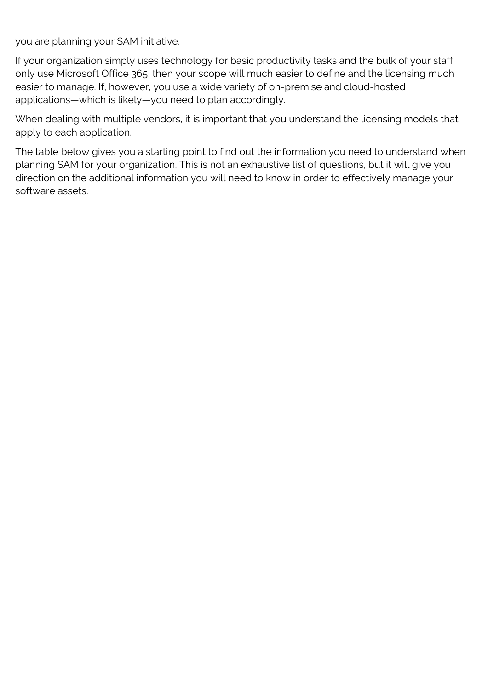you are planning your SAM initiative.

If your organization simply uses technology for basic productivity tasks and the bulk of your staff only use Microsoft Office 365, then your scope will much easier to define and the licensing much easier to manage. If, however, you use a wide variety of on-premise and cloud-hosted applications—which is likely—you need to plan accordingly.

When dealing with multiple vendors, it is important that you understand the licensing models that apply to each application.

The table below gives you a starting point to find out the information you need to understand when planning SAM for your organization. This is not an exhaustive list of questions, but it will give you direction on the additional information you will need to know in order to effectively manage your software assets.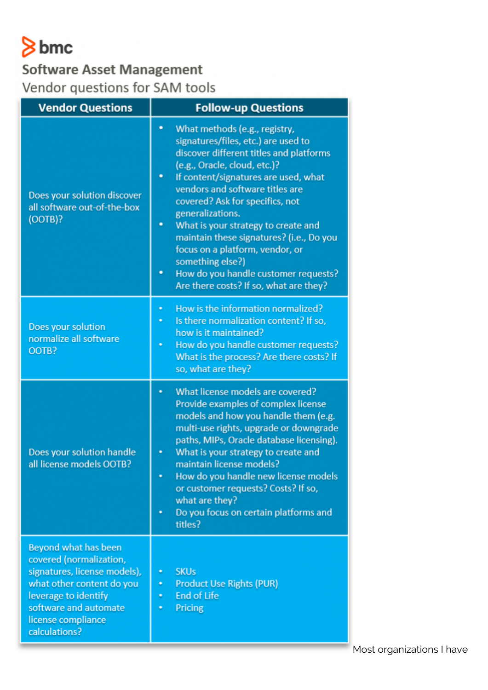# $8$  bmc

#### **Software Asset Management** Vendor questions for SAM tools

| <b>Vendor Questions</b>                                                                                                                                                                              | <b>Follow-up Questions</b>                                                                                                                                                                                                                                                                                                                                                                                                                                                                                                        |
|------------------------------------------------------------------------------------------------------------------------------------------------------------------------------------------------------|-----------------------------------------------------------------------------------------------------------------------------------------------------------------------------------------------------------------------------------------------------------------------------------------------------------------------------------------------------------------------------------------------------------------------------------------------------------------------------------------------------------------------------------|
| Does your solution discover<br>all software out-of-the-box<br>(OOTB)?                                                                                                                                | What methods (e.g., registry,<br>۰<br>signatures/files, etc.) are used to<br>discover different titles and platforms<br>(e.g., Oracle, cloud, etc.)?<br>If content/signatures are used, what<br>٠<br>vendors and software titles are<br>covered? Ask for specifics, not<br>generalizations.<br>What is your strategy to create and<br>۰<br>maintain these signatures? (i.e., Do you<br>focus on a platform, vendor, or<br>something else?)<br>How do you handle customer requests?<br>٠<br>Are there costs? If so, what are they? |
| Does your solution<br>normalize all software<br>OOTB?                                                                                                                                                | How is the information normalized?<br>٠<br>Is there normalization content? If so,<br>how is it maintained?<br>How do you handle customer requests?<br>٠<br>What is the process? Are there costs? If<br>so, what are they?                                                                                                                                                                                                                                                                                                         |
| Does your solution handle<br>all license models OOTB?                                                                                                                                                | What license models are covered?<br>Provide examples of complex license<br>models and how you handle them (e.g.<br>multi-use rights, upgrade or downgrade<br>paths, MIPs, Oracle database licensing).<br>What is your strategy to create and<br>maintain license models?<br>How do you handle new license models<br>or customer requests? Costs? If so,<br>what are they?<br>Do you focus on certain platforms and<br>titles?                                                                                                     |
| Beyond what has been<br>covered (normalization,<br>signatures, license models),<br>what other content do you<br>leverage to identify<br>software and automate<br>license compliance<br>calculations? | <b>SKUs</b><br>٠<br><b>Product Use Rights (PUR)</b><br>٠<br><b>End of Life</b><br>٠<br>Pricing<br>٠                                                                                                                                                                                                                                                                                                                                                                                                                               |